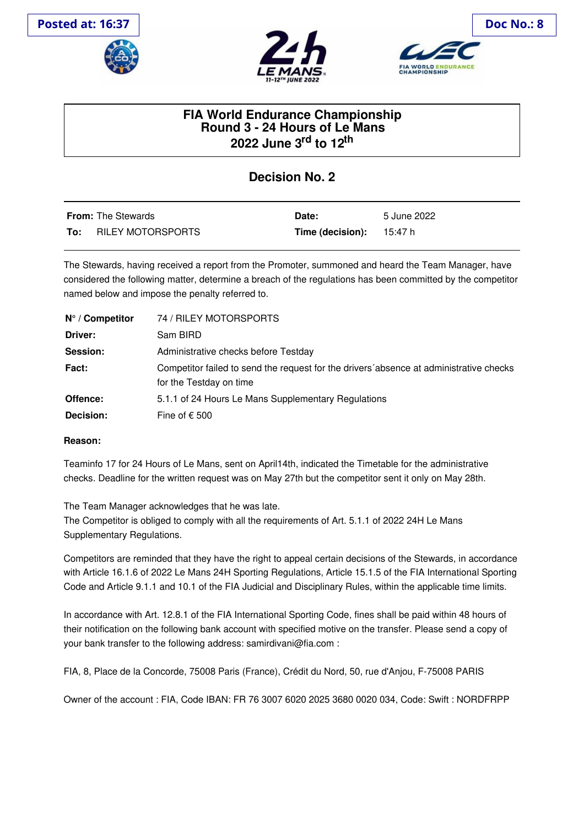





## **FIA World Endurance Championship Round 3 - 24 Hours of Le Mans 2022 June 3 rd to 12 th**

## **Decision No. 2**

|     | <b>From:</b> The Stewards | Date:                             | 5 June 2022 |
|-----|---------------------------|-----------------------------------|-------------|
| To: | RILEY MOTORSPORTS         | <b>Time (decision):</b> $15:47 h$ |             |

The Stewards, having received a report from the Promoter, summoned and heard the Team Manager, have considered the following matter, determine a breach of the regulations has been committed by the competitor named below and impose the penalty referred to.

| $N^{\circ}$ / Competitor | 74 / RILEY MOTORSPORTS                                                                                            |
|--------------------------|-------------------------------------------------------------------------------------------------------------------|
| Driver:                  | Sam BIRD                                                                                                          |
| Session:                 | Administrative checks before Testday                                                                              |
| <b>Fact:</b>             | Competitor failed to send the request for the drivers absence at administrative checks<br>for the Testday on time |
| Offence:                 | 5.1.1 of 24 Hours Le Mans Supplementary Regulations                                                               |
| Decision:                | Fine of $\epsilon$ 500                                                                                            |

## **Reason:**

Teaminfo 17 for 24 Hours of Le Mans, sent on April14th, indicated the Timetable for the administrative checks. Deadline for the written request was on May 27th but the competitor sent it only on May 28th.

The Team Manager acknowledges that he was late.

The Competitor is obliged to comply with all the requirements of Art. 5.1.1 of 2022 24H Le Mans Supplementary Regulations.

Competitors are reminded that they have the right to appeal certain decisions of the Stewards, in accordance with Article 16.1.6 of 2022 Le Mans 24H Sporting Regulations, Article 15.1.5 of the FIA International Sporting Code and Article 9.1.1 and 10.1 of the FIA Judicial and Disciplinary Rules, within the applicable time limits.

In accordance with Art. 12.8.1 of the FIA International Sporting Code, fines shall be paid within 48 hours of their notification on the following bank account with specified motive on the transfer. Please send a copy of your bank transfer to the following address: samirdivani@fia.com :

FIA, 8, Place de la Concorde, 75008 Paris (France), Crédit du Nord, 50, rue d'Anjou, F-75008 PARIS

Owner of the account : FIA, Code IBAN: FR 76 3007 6020 2025 3680 0020 034, Code: Swift : NORDFRPP